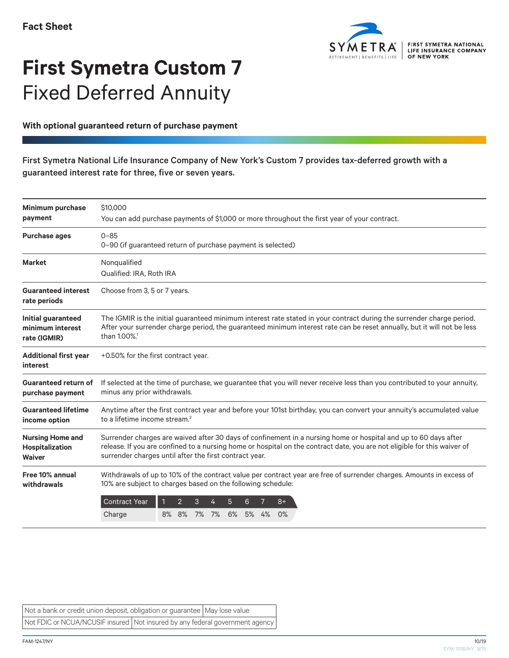

## **First Symetra Custom 7** Fixed Deferred Annuity

## **With optional guaranteed return of purchase payment**

## First Symetra National Life Insurance Company of New York's Custom 7 provides tax-deferred growth with a guaranteed interest rate for three, five or seven years.

| <b>Minimum purchase</b>                                     | \$10,000                                                                                                                                                                                                                                                                                              |
|-------------------------------------------------------------|-------------------------------------------------------------------------------------------------------------------------------------------------------------------------------------------------------------------------------------------------------------------------------------------------------|
| payment                                                     | You can add purchase payments of \$1,000 or more throughout the first year of your contract.                                                                                                                                                                                                          |
| <b>Purchase ages</b>                                        | $0 - 85$<br>0-90 (if guaranteed return of purchase payment is selected)                                                                                                                                                                                                                               |
| <b>Market</b>                                               | Nonqualified<br>Qualified: IRA, Roth IRA                                                                                                                                                                                                                                                              |
| <b>Guaranteed interest</b><br>rate periods                  | Choose from 3, 5 or 7 years.                                                                                                                                                                                                                                                                          |
| Initial guaranteed<br>minimum interest<br>rate (IGMIR)      | The IGMIR is the initial guaranteed minimum interest rate stated in your contract during the surrender charge period.<br>After your surrender charge period, the guaranteed minimum interest rate can be reset annually, but it will not be less<br>than 1.00%. <sup>1</sup>                          |
| <b>Additional first year</b><br>interest                    | +0.50% for the first contract year.                                                                                                                                                                                                                                                                   |
| <b>Guaranteed return of</b><br>purchase payment             | If selected at the time of purchase, we guarantee that you will never receive less than you contributed to your annuity,<br>minus any prior withdrawals.                                                                                                                                              |
| <b>Guaranteed lifetime</b><br>income option                 | Anytime after the first contract year and before your 101st birthday, you can convert your annuity's accumulated value<br>to a lifetime income stream. <sup>2</sup>                                                                                                                                   |
| <b>Nursing Home and</b><br>Hospitalization<br><b>Waiver</b> | Surrender charges are waived after 30 days of confinement in a nursing home or hospital and up to 60 days after<br>release. If you are confined to a nursing home or hospital on the contract date, you are not eligible for this waiver of<br>surrender charges until after the first contract year. |
| Free 10% annual<br>withdrawals                              | Withdrawals of up to 10% of the contract value per contract year are free of surrender charges. Amounts in excess of<br>10% are subject to charges based on the following schedule:                                                                                                                   |
|                                                             | <b>Contract Year</b><br>$\overline{2}$<br>3<br>$8+$<br>5<br>6<br>8% 8%<br>7%<br>7%<br>6%<br>5% 4%<br>0%<br>Charge                                                                                                                                                                                     |

Not a bank or credit union deposit, obligation or guarantee  $\vert$  May lose value Not FDIC or NCUA/NCUSIF insured Not insured by any federal government agency